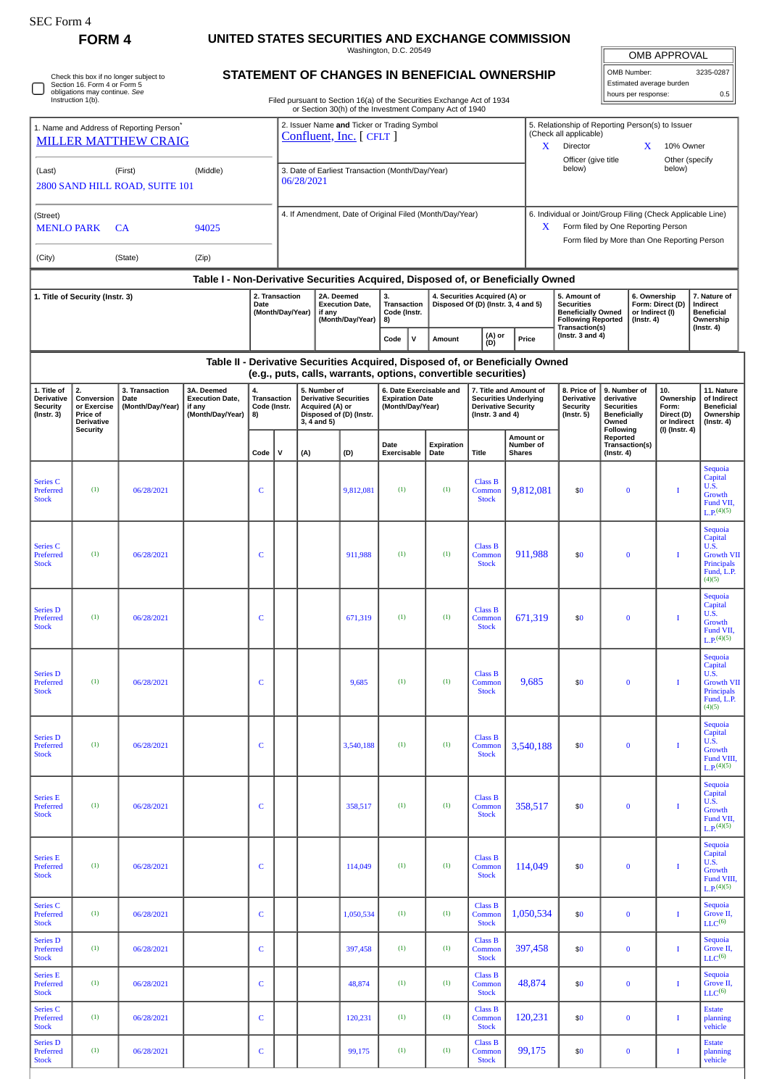O

Check this box if no longer subject to Section 16. Form 4 or Form 5 obligations may continue. *See* Instruction 1(b).

## **FORM 4 UNITED STATES SECURITIES AND EXCHANGE COMMISSION**

Washington, D.C. 20549 **STATEMENT OF CHANGES IN BENEFICIAL OWNERSHIP**

| <b>OMB APPROVAL</b>      |           |  |  |  |  |  |  |  |  |  |
|--------------------------|-----------|--|--|--|--|--|--|--|--|--|
| OMB Number:              | 3235-0287 |  |  |  |  |  |  |  |  |  |
| Estimated average burden |           |  |  |  |  |  |  |  |  |  |
| hours per response:      | 05        |  |  |  |  |  |  |  |  |  |

Filed pursuant to Section 16(a) of the Securities Exchange Act of 1934

|                                                                                                                                                                      |                                      |                                                                                     |                                                                                  |              |                                    |                                                                                            |                                                          | or Section 30(h) of the Investment Company Act of 1940                                                                                          |                                                                                                   |                                                                                                                                                        |                                              |                                                                                                               |                                                             |                                                     |                                                             |                                                                                       |  |
|----------------------------------------------------------------------------------------------------------------------------------------------------------------------|--------------------------------------|-------------------------------------------------------------------------------------|----------------------------------------------------------------------------------|--------------|------------------------------------|--------------------------------------------------------------------------------------------|----------------------------------------------------------|-------------------------------------------------------------------------------------------------------------------------------------------------|---------------------------------------------------------------------------------------------------|--------------------------------------------------------------------------------------------------------------------------------------------------------|----------------------------------------------|---------------------------------------------------------------------------------------------------------------|-------------------------------------------------------------|-----------------------------------------------------|-------------------------------------------------------------|---------------------------------------------------------------------------------------|--|
|                                                                                                                                                                      |                                      | 1. Name and Address of Reporting Person <sup>®</sup><br><b>MILLER MATTHEW CRAIG</b> | 2. Issuer Name and Ticker or Trading Symbol<br>Confluent, Inc. [ CFLT ]          |              |                                    |                                                                                            |                                                          |                                                                                                                                                 |                                                                                                   | 5. Relationship of Reporting Person(s) to Issuer<br>(Check all applicable)<br>Director<br>X<br>X<br>10% Owner<br>Officer (give title<br>Other (specify |                                              |                                                                                                               |                                                             |                                                     |                                                             |                                                                                       |  |
| (Last)                                                                                                                                                               |                                      | (First)<br>2800 SAND HILL ROAD, SUITE 101                                           |                                                                                  | 06/28/2021   |                                    | 3. Date of Earliest Transaction (Month/Day/Year)                                           |                                                          |                                                                                                                                                 | below)                                                                                            |                                                                                                                                                        |                                              | below)                                                                                                        |                                                             |                                                     |                                                             |                                                                                       |  |
| (Street)<br><b>MENLO PARK</b>                                                                                                                                        |                                      | <b>CA</b>                                                                           |                                                                                  |              |                                    | 4. If Amendment, Date of Original Filed (Month/Day/Year)                                   |                                                          | X.                                                                                                                                              | 6. Individual or Joint/Group Filing (Check Applicable Line)<br>Form filed by One Reporting Person |                                                                                                                                                        |                                              |                                                                                                               |                                                             |                                                     |                                                             |                                                                                       |  |
| (City)                                                                                                                                                               |                                      | (State)                                                                             | (Zip)                                                                            |              |                                    |                                                                                            |                                                          |                                                                                                                                                 |                                                                                                   |                                                                                                                                                        | Form filed by More than One Reporting Person |                                                                                                               |                                                             |                                                     |                                                             |                                                                                       |  |
|                                                                                                                                                                      |                                      |                                                                                     | Table I - Non-Derivative Securities Acquired, Disposed of, or Beneficially Owned |              |                                    |                                                                                            |                                                          |                                                                                                                                                 |                                                                                                   |                                                                                                                                                        |                                              |                                                                                                               |                                                             |                                                     |                                                             |                                                                                       |  |
| 1. Title of Security (Instr. 3)                                                                                                                                      |                                      |                                                                                     |                                                                                  | Date         | 2. Transaction<br>(Month/Day/Year) | if any                                                                                     | 2A. Deemed<br><b>Execution Date,</b><br>(Month/Day/Year) | 3.<br>Transaction<br>Code (Instr.<br>8)                                                                                                         |                                                                                                   | 4. Securities Acquired (A) or<br>Disposed Of (D) (Instr. 3, 4 and 5)                                                                                   |                                              | 5. Amount of<br><b>Securities</b><br><b>Beneficially Owned</b><br><b>Following Reported</b><br>Transaction(s) |                                                             | 6. Ownership<br>or Indirect (I)<br>$($ Instr. 4 $)$ | Form: Direct (D)                                            | 7. Nature of<br>Indirect<br><b>Beneficial</b><br>Ownership<br>$($ Instr. 4 $)$        |  |
|                                                                                                                                                                      |                                      |                                                                                     |                                                                                  |              |                                    |                                                                                            |                                                          | $\mathsf{v}$<br>Code                                                                                                                            | (A) or<br>Amount<br>(D)                                                                           |                                                                                                                                                        | Price                                        | (Instr. $3$ and $4$ )                                                                                         |                                                             |                                                     |                                                             |                                                                                       |  |
|                                                                                                                                                                      |                                      |                                                                                     |                                                                                  |              |                                    |                                                                                            |                                                          | Table II - Derivative Securities Acquired, Disposed of, or Beneficially Owned<br>(e.g., puts, calls, warrants, options, convertible securities) |                                                                                                   |                                                                                                                                                        |                                              |                                                                                                               |                                                             |                                                     |                                                             |                                                                                       |  |
| 1. Title of<br>2.<br>3. Transaction<br><b>Derivative</b><br>Conversion<br>Date<br><b>Security</b><br>(Month/Day/Year)<br>or Exercise<br>$($ Instr. 3 $)$<br>Price of |                                      | 3A. Deemed<br><b>Execution Date,</b><br>if any<br>(Month/Day/Year)                  | 4.<br>Transaction<br>Code (Instr.<br>8)                                          |              | 3, 4 and 5)                        | 5. Number of<br><b>Derivative Securities</b><br>Acquired (A) or<br>Disposed of (D) (Instr. |                                                          | 6. Date Exercisable and<br><b>Expiration Date</b><br>(Month/Day/Year)                                                                           |                                                                                                   | 7. Title and Amount of<br><b>Securities Underlying</b><br><b>Derivative Security</b><br>(Instr. $3$ and $4$ )                                          |                                              | 8. Price of<br>9. Number of<br>derivative<br><b>Securities</b><br><b>Beneficially</b><br>Owned                | 10.<br>Ownership<br>Form:<br>Direct (D)<br>or Indirect      |                                                     | 11. Nature<br>of Indirect<br><b>Beneficial</b><br>Ownership |                                                                                       |  |
|                                                                                                                                                                      | <b>Derivative</b><br><b>Security</b> |                                                                                     |                                                                                  | Code         | v                                  | (A)                                                                                        | (D)                                                      | Date<br>Exercisable                                                                                                                             | <b>Expiration</b><br>Date                                                                         | Title                                                                                                                                                  | Amount or<br>Number of<br><b>Shares</b>      |                                                                                                               | Following<br>Reported<br>Transaction(s)<br>$($ Instr. 4 $)$ |                                                     | (I) (Instr. 4)                                              | $($ lnstr. 4 $)$                                                                      |  |
| <b>Series C</b><br>Preferred<br><b>Stock</b>                                                                                                                         | (1)                                  | 06/28/2021                                                                          |                                                                                  | C            |                                    |                                                                                            | 9,812,081                                                | (1)                                                                                                                                             | (1)                                                                                               | <b>Class B</b><br>Common<br><b>Stock</b>                                                                                                               | 9,812,081                                    | \$0                                                                                                           | $\bf{0}$                                                    |                                                     | I                                                           | Sequoia<br>Capital<br><b>U.S.</b><br>Growth<br>Fund VII,<br>$L.P.^{(4)(5)}$           |  |
| <b>Series C</b><br>Preferred<br><b>Stock</b>                                                                                                                         | (1)                                  | 06/28/2021                                                                          |                                                                                  | C            |                                    |                                                                                            | 911,988                                                  | (1)                                                                                                                                             | (1)                                                                                               | <b>Class B</b><br>Common<br><b>Stock</b>                                                                                                               | 911,988                                      | \$0                                                                                                           | $\bf{0}$                                                    |                                                     | 1                                                           | Sequoia<br>Capital<br>U.S.<br><b>Growth VII</b><br>Principals<br>Fund, L.P.<br>(4)(5) |  |
| <b>Series D</b><br>Preferred<br><b>Stock</b>                                                                                                                         | (1)                                  | 06/28/2021                                                                          |                                                                                  | C            |                                    |                                                                                            | 671,319                                                  | (1)                                                                                                                                             | (1)                                                                                               | <b>Class B</b><br>Common<br><b>Stock</b>                                                                                                               | 671,319                                      | \$0                                                                                                           | $\bf{0}$                                                    |                                                     | 1                                                           | Sequoia<br>Capital<br>U.S.<br>Growth<br>Fund VII,<br>$L.P.$ <sup>(4)(5)</sup>         |  |
| <b>Series D</b><br>Preferred<br><b>Stock</b>                                                                                                                         | (1)                                  | 06/28/2021                                                                          |                                                                                  | C            |                                    |                                                                                            | 9,685                                                    | (1)                                                                                                                                             | (1)                                                                                               | <b>Class B</b><br>Common<br><b>Stock</b>                                                                                                               | 9,685                                        | \$0                                                                                                           | $\bf{0}$                                                    |                                                     |                                                             | Sequoia<br>Capital<br>U.S.<br><b>Growth VII</b><br>Principals<br>Fund, L.P.<br>(4)(5) |  |
| <b>Series D</b><br>Preferred<br><b>Stock</b>                                                                                                                         | (1)                                  | 06/28/2021                                                                          |                                                                                  | C            |                                    |                                                                                            | 3,540,188                                                | (1)                                                                                                                                             | (1)                                                                                               | <b>Class B</b><br>Common<br><b>Stock</b>                                                                                                               | 3,540,188                                    | \$0                                                                                                           | $\bf{0}$                                                    |                                                     | 1                                                           | Sequoia<br>Capital<br>U.S.<br>Growth<br>Fund VIII,<br>$L.P.$ <sup>(4)(5)</sup>        |  |
| <b>Series E</b><br>Preferred<br><b>Stock</b>                                                                                                                         | (1)                                  | 06/28/2021                                                                          |                                                                                  | C            |                                    |                                                                                            | 358,517                                                  | (1)                                                                                                                                             | (1)                                                                                               | <b>Class B</b><br>Common<br><b>Stock</b>                                                                                                               | 358,517                                      | \$0                                                                                                           | $\bf{0}$                                                    |                                                     | I                                                           | Sequoia<br>Capital<br>U.S.<br>Growth<br>Fund VII,<br>$L.P.$ <sup>(4)(5)</sup>         |  |
| <b>Series E</b><br>Preferred<br><b>Stock</b>                                                                                                                         | (1)                                  | 06/28/2021                                                                          |                                                                                  | C            |                                    |                                                                                            | 114,049                                                  | (1)                                                                                                                                             | (1)                                                                                               | <b>Class B</b><br>Common<br><b>Stock</b>                                                                                                               | 114,049                                      | \$0                                                                                                           | $\bf{0}$                                                    |                                                     | Т                                                           | Sequoia<br>Capital<br>U.S.<br>Growth<br>Fund VIII,<br>$L.P.^{(4)(5)}$                 |  |
| <b>Series C</b><br>Preferred<br><b>Stock</b>                                                                                                                         | (1)                                  | 06/28/2021                                                                          |                                                                                  | $\mathsf{C}$ |                                    |                                                                                            | 1,050,534                                                | (1)                                                                                                                                             | (1)                                                                                               | <b>Class B</b><br>Common<br><b>Stock</b>                                                                                                               | 1,050,534                                    | \$0                                                                                                           | $\bf{0}$                                                    |                                                     | I                                                           | Sequoia<br>Grove II,<br>LLC <sup>(6)</sup>                                            |  |
| <b>Series D</b><br>Preferred<br><b>Stock</b>                                                                                                                         | (1)                                  | 06/28/2021                                                                          |                                                                                  | $\mathsf{C}$ |                                    |                                                                                            | 397,458                                                  | (1)                                                                                                                                             | (1)                                                                                               | <b>Class B</b><br>Common<br><b>Stock</b>                                                                                                               | 397,458                                      | \$0                                                                                                           | $\bf{0}$                                                    |                                                     | $\bf{I}$                                                    | Sequoia<br>Grove II,<br>LLC <sup>(6)</sup>                                            |  |
| <b>Series E</b><br>Preferred<br><b>Stock</b>                                                                                                                         | (1)                                  | 06/28/2021                                                                          |                                                                                  | $\mathsf{C}$ |                                    |                                                                                            | 48,874                                                   | (1)                                                                                                                                             | (1)                                                                                               | <b>Class B</b><br>Common<br><b>Stock</b>                                                                                                               | 48,874                                       | \$0                                                                                                           | $\bf{0}$                                                    |                                                     | I                                                           | Sequoia<br>Grove II,<br>LLC <sup>(6)</sup>                                            |  |
| <b>Series C</b><br>Preferred<br><b>Stock</b>                                                                                                                         | (1)                                  | 06/28/2021                                                                          |                                                                                  | C            |                                    |                                                                                            | 120,231                                                  | (1)                                                                                                                                             | (1)                                                                                               | <b>Class B</b><br>Common<br><b>Stock</b>                                                                                                               | 120,231                                      | \$0                                                                                                           | $\bf{0}$                                                    |                                                     | Т                                                           | <b>Estate</b><br>planning<br>vehicle                                                  |  |
| <b>Series D</b><br>Preferred<br><b>Stock</b>                                                                                                                         | (1)                                  | 06/28/2021                                                                          |                                                                                  | C            |                                    |                                                                                            | 99,175                                                   | (1)                                                                                                                                             | (1)                                                                                               | <b>Class B</b><br>Common<br><b>Stock</b>                                                                                                               | 99,175                                       | \$0                                                                                                           | $\bf{0}$                                                    |                                                     | Т                                                           | <b>Estate</b><br>planning<br>vehicle                                                  |  |